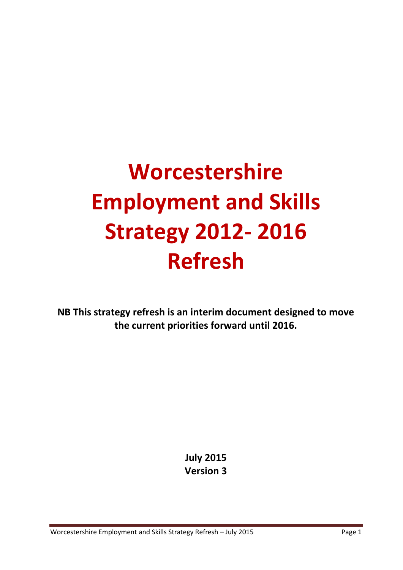# **Worcestershire Employment and Skills Strategy 2012- 2016 Refresh**

**NB This strategy refresh is an interim document designed to move the current priorities forward until 2016.**

> **July 2015 Version 3**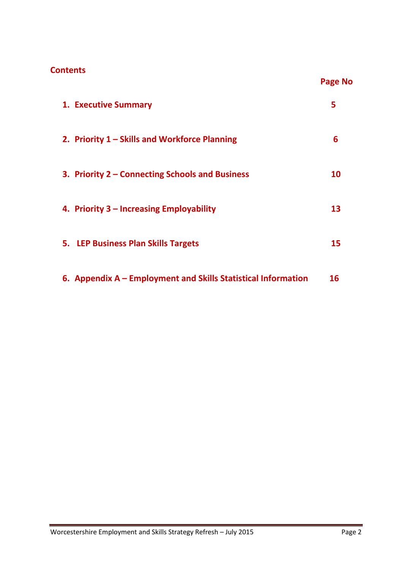#### **Contents**

| <b>1. Executive Summary</b>                                   | 5  |
|---------------------------------------------------------------|----|
| 2. Priority 1 – Skills and Workforce Planning                 | 6  |
| 3. Priority 2 – Connecting Schools and Business               | 10 |
| 4. Priority 3 – Increasing Employability                      | 13 |
| 5. LEP Business Plan Skills Targets                           | 15 |
| 6. Appendix A – Employment and Skills Statistical Information | 16 |

**Page No**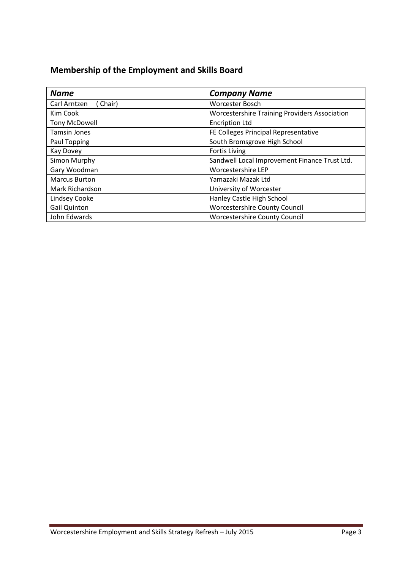## **Membership of the Employment and Skills Board**

| <b>Name</b>            | <b>Company Name</b>                                  |
|------------------------|------------------------------------------------------|
| Carl Arntzen<br>Chair) | Worcester Bosch                                      |
| Kim Cook               | <b>Worcestershire Training Providers Association</b> |
| Tony McDowell          | <b>Encription Ltd</b>                                |
| <b>Tamsin Jones</b>    | FE Colleges Principal Representative                 |
| Paul Topping           | South Bromsgrove High School                         |
| Kay Dovey              | <b>Fortis Living</b>                                 |
| Simon Murphy           | Sandwell Local Improvement Finance Trust Ltd.        |
| Gary Woodman           | Worcestershire LEP                                   |
| <b>Marcus Burton</b>   | Yamazaki Mazak Ltd                                   |
| Mark Richardson        | University of Worcester                              |
| Lindsey Cooke          | Hanley Castle High School                            |
| <b>Gail Quinton</b>    | Worcestershire County Council                        |
| John Edwards           | Worcestershire County Council                        |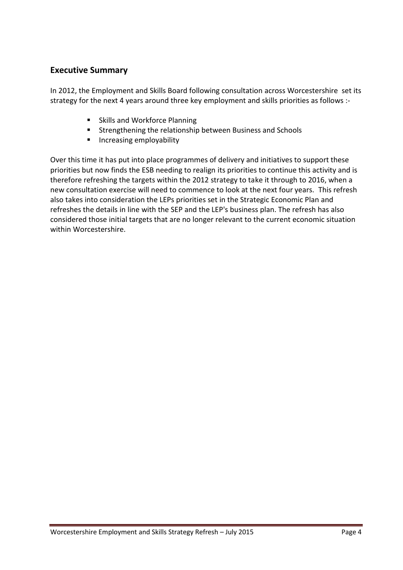#### **Executive Summary**

In 2012, the Employment and Skills Board following consultation across Worcestershire set its strategy for the next 4 years around three key employment and skills priorities as follows :-

- **Skills and Workforce Planning**
- **EXTERGHERIM** Strengthening the relationship between Business and Schools
- **Increasing employability**

Over this time it has put into place programmes of delivery and initiatives to support these priorities but now finds the ESB needing to realign its priorities to continue this activity and is therefore refreshing the targets within the 2012 strategy to take it through to 2016, when a new consultation exercise will need to commence to look at the next four years. This refresh also takes into consideration the LEPs priorities set in the Strategic Economic Plan and refreshes the details in line with the SEP and the LEP's business plan. The refresh has also considered those initial targets that are no longer relevant to the current economic situation within Worcestershire.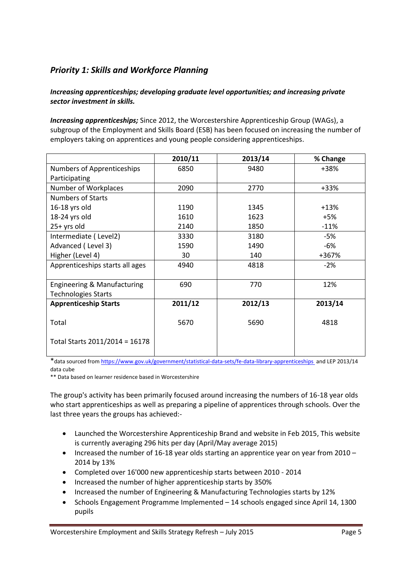### *Priority 1: Skills and Workforce Planning*

#### *Increasing apprenticeships; developing graduate level opportunities; and increasing private sector investment in skills.*

*Increasing apprenticeships;* Since 2012, the Worcestershire Apprenticeship Group (WAGs), a subgroup of the Employment and Skills Board (ESB) has been focused on increasing the number of employers taking on apprentices and young people considering apprenticeships.

|                                 | 2010/11 | 2013/14 | % Change |
|---------------------------------|---------|---------|----------|
| Numbers of Apprenticeships      | 6850    | 9480    | +38%     |
| Participating                   |         |         |          |
| Number of Workplaces            | 2090    | 2770    | $+33%$   |
| <b>Numbers of Starts</b>        |         |         |          |
| 16-18 yrs old                   | 1190    | 1345    | $+13%$   |
| 18-24 yrs old                   | 1610    | 1623    | $+5%$    |
| $25+$ yrs old                   | 2140    | 1850    | $-11%$   |
| Intermediate (Level2)           | 3330    | 3180    | -5%      |
| Advanced (Level 3)              | 1590    | 1490    | -6%      |
| Higher (Level 4)                | 30      | 140     | +367%    |
| Apprenticeships starts all ages | 4940    | 4818    | $-2%$    |
|                                 |         |         |          |
| Engineering & Manufacturing     | 690     | 770     | 12%      |
| <b>Technologies Starts</b>      |         |         |          |
| <b>Apprenticeship Starts</b>    | 2011/12 | 2012/13 | 2013/14  |
|                                 |         |         |          |
| Total                           | 5670    | 5690    | 4818     |
|                                 |         |         |          |
| Total Starts 2011/2014 = 16178  |         |         |          |
|                                 |         |         |          |

\*data sourced fro[m https://www.gov.uk/government/statistical-data-sets/fe-data-library-apprenticeships and LEP 2013/14](https://www.gov.uk/government/statistical-data-sets/fe-data-library-apprenticeships%20%20and%20LEP%202013/14) data cube

\*\* Data based on learner residence based in Worcestershire

The group's activity has been primarily focused around increasing the numbers of 16-18 year olds who start apprenticeships as well as preparing a pipeline of apprentices through schools. Over the last three years the groups has achieved:-

- Launched the Worcestershire Apprenticeship Brand and website in Feb 2015, This website is currently averaging 296 hits per day (April/May average 2015)
- Increased the number of 16-18 year olds starting an apprentice year on year from  $2010 -$ 2014 by 13%
- Completed over 16'000 new apprenticeship starts between 2010 2014
- Increased the number of higher apprenticeship starts by 350%
- Increased the number of Engineering & Manufacturing Technologies starts by 12%
- Schools Engagement Programme Implemented 14 schools engaged since April 14, 1300 pupils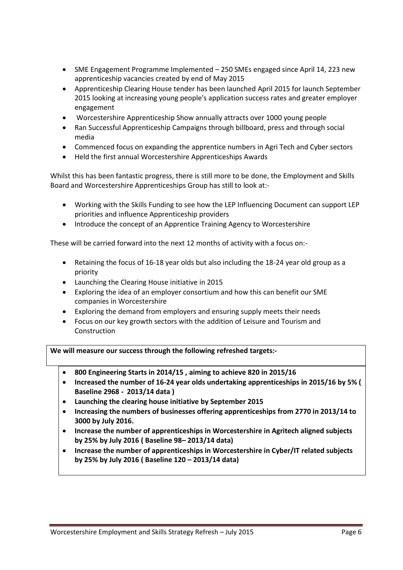- SME Engagement Programme Implemented 250 SMEs engaged since April 14, 223 new apprenticeship vacancies created by end of May 2015
- Apprenticeship Clearing House tender has been launched April 2015 for launch September 2015 looking at increasing young people's application success rates and greater employer engagement
- Worcestershire Apprenticeship Show annually attracts over 1000 young people
- Ran Successful Apprenticeship Campaigns through billboard, press and through social media
- Commenced focus on expanding the apprentice numbers in Agri Tech and Cyber sectors
- Held the first annual Worcestershire Apprenticeships Awards

Whilst this has been fantastic progress, there is still more to be done, the Employment and Skills Board and Worcestershire Apprenticeships Group has still to look at:-

- Working with the Skills Funding to see how the LEP Influencing Document can support LEP priorities and influence Apprenticeship providers
- Introduce the concept of an Apprentice Training Agency to Worcestershire

These will be carried forward into the next 12 months of activity with a focus on:-

- Retaining the focus of 16-18 year olds but also including the 18-24 year old group as a priority
- Launching the Clearing House initiative in 2015
- Exploring the idea of an employer consortium and how this can benefit our SME companies in Worcestershire
- Exploring the demand from employers and ensuring supply meets their needs
- Focus on our key growth sectors with the addition of Leisure and Tourism and Construction

**We will measure our success through the following refreshed targets:-**

- **800 Engineering Starts in 2014/15 , aiming to achieve 820 in 2015/16**
- **Increased the number of 16-24 year olds undertaking apprenticeships in 2015/16 by 5% ( Baseline 2968 - 2013/14 data )**
- **Launching the clearing house initiative by September 2015**
- **Increasing the numbers of businesses offering apprenticeships from 2770 in 2013/14 to 3000 by July 2016.**
- **Increase the number of apprenticeships in Worcestershire in Agritech aligned subjects by 25% by July 2016 ( Baseline 98– 2013/14 data)**
- **Increase the number of apprenticeships in Worcestershire in Cyber/IT related subjects by 25% by July 2016 ( Baseline 120 – 2013/14 data)**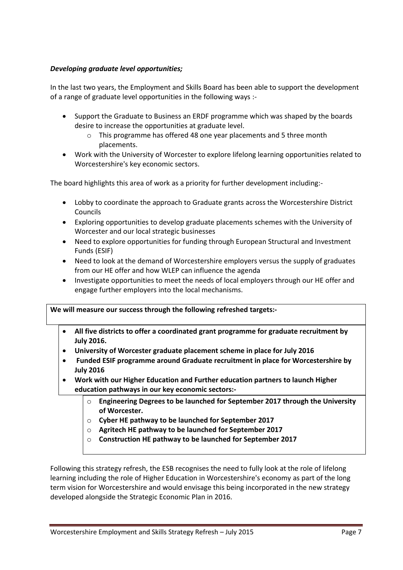#### *Developing graduate level opportunities;*

In the last two years, the Employment and Skills Board has been able to support the development of a range of graduate level opportunities in the following ways :-

- Support the Graduate to Business an ERDF programme which was shaped by the boards desire to increase the opportunities at graduate level.
	- o This programme has offered 48 one year placements and 5 three month placements.
- Work with the University of Worcester to explore lifelong learning opportunities related to Worcestershire's key economic sectors.

The board highlights this area of work as a priority for further development including:-

- Lobby to coordinate the approach to Graduate grants across the Worcestershire District Councils
- Exploring opportunities to develop graduate placements schemes with the University of Worcester and our local strategic businesses
- Need to explore opportunities for funding through European Structural and Investment Funds (ESIF)
- Need to look at the demand of Worcestershire employers versus the supply of graduates from our HE offer and how WLEP can influence the agenda
- Investigate opportunities to meet the needs of local employers through our HE offer and engage further employers into the local mechanisms.

#### **We will measure our success through the following refreshed targets:-**

- **All five districts to offer a coordinated grant programme for graduate recruitment by July 2016.**
- **University of Worcester graduate placement scheme in place for July 2016**
- **Funded ESIF programme around Graduate recruitment in place for Worcestershire by July 2016**
- **Work with our Higher Education and Further education partners to launch Higher education pathways in our key economic sectors:**
	- o **Engineering Degrees to be launched for September 2017 through the University of Worcester.**
	- o **Cyber HE pathway to be launched for September 2017**
	- o **Agritech HE pathway to be launched for September 2017**
	- o **Construction HE pathway to be launched for September 2017**

Following this strategy refresh, the ESB recognises the need to fully look at the role of lifelong learning including the role of Higher Education in Worcestershire's economy as part of the long term vision for Worcestershire and would envisage this being incorporated in the new strategy developed alongside the Strategic Economic Plan in 2016.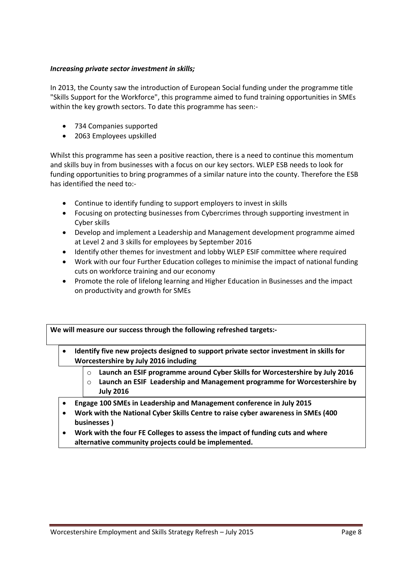#### *Increasing private sector investment in skills;*

In 2013, the County saw the introduction of European Social funding under the programme title "Skills Support for the Workforce", this programme aimed to fund training opportunities in SMEs within the key growth sectors. To date this programme has seen:-

- 734 Companies supported
- 2063 Employees upskilled

Whilst this programme has seen a positive reaction, there is a need to continue this momentum and skills buy in from businesses with a focus on our key sectors. WLEP ESB needs to look for funding opportunities to bring programmes of a similar nature into the county. Therefore the ESB has identified the need to:-

- Continue to identify funding to support employers to invest in skills
- Focusing on protecting businesses from Cybercrimes through supporting investment in Cyber skills
- Develop and implement a Leadership and Management development programme aimed at Level 2 and 3 skills for employees by September 2016
- Identify other themes for investment and lobby WLEP ESIF committee where required
- Work with our four Further Education colleges to minimise the impact of national funding cuts on workforce training and our economy
- Promote the role of lifelong learning and Higher Education in Businesses and the impact on productivity and growth for SMEs

**We will measure our success through the following refreshed targets:-**

- **Identify five new projects designed to support private sector investment in skills for Worcestershire by July 2016 including** 
	- o **Launch an ESIF programme around Cyber Skills for Worcestershire by July 2016**
	- o **Launch an ESIF Leadership and Management programme for Worcestershire by July 2016**
- **Engage 100 SMEs in Leadership and Management conference in July 2015**
- **Work with the National Cyber Skills Centre to raise cyber awareness in SMEs (400 businesses )**
- **Work with the four FE Colleges to assess the impact of funding cuts and where alternative community projects could be implemented.**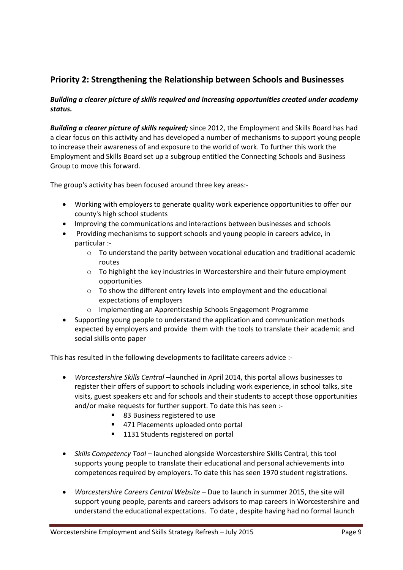#### **Priority 2: Strengthening the Relationship between Schools and Businesses**

#### *Building a clearer picture of skills required and increasing opportunities created under academy status.*

*Building a clearer picture of skills required;* since 2012, the Employment and Skills Board has had a clear focus on this activity and has developed a number of mechanisms to support young people to increase their awareness of and exposure to the world of work. To further this work the Employment and Skills Board set up a subgroup entitled the Connecting Schools and Business Group to move this forward.

The group's activity has been focused around three key areas:-

- Working with employers to generate quality work experience opportunities to offer our county's high school students
- Improving the communications and interactions between businesses and schools
- Providing mechanisms to support schools and young people in careers advice, in particular :-
	- $\circ$  To understand the parity between vocational education and traditional academic routes
	- $\circ$  To highlight the key industries in Worcestershire and their future employment opportunities
	- o To show the different entry levels into employment and the educational expectations of employers
	- o Implementing an Apprenticeship Schools Engagement Programme
- Supporting young people to understand the application and communication methods expected by employers and provide them with the tools to translate their academic and social skills onto paper

This has resulted in the following developments to facilitate careers advice :-

- *Worcestershire Skills Central* –launched in April 2014, this portal allows businesses to register their offers of support to schools including work experience, in school talks, site visits, guest speakers etc and for schools and their students to accept those opportunities and/or make requests for further support. To date this has seen :-
	- 83 Business registered to use
	- 471 Placements uploaded onto portal
	- 1131 Students registered on portal
- *Skills Competency Tool* launched alongside Worcestershire Skills Central, this tool supports young people to translate their educational and personal achievements into competences required by employers. To date this has seen 1970 student registrations.
- *Worcestershire Careers Central Website* Due to launch in summer 2015, the site will support young people, parents and careers advisors to map careers in Worcestershire and understand the educational expectations. To date , despite having had no formal launch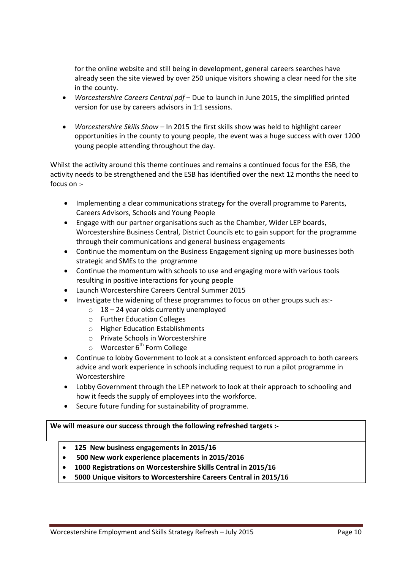for the online website and still being in development, general careers searches have already seen the site viewed by over 250 unique visitors showing a clear need for the site in the county.

- *Worcestershire Careers Central pdf* Due to launch in June 2015, the simplified printed version for use by careers advisors in 1:1 sessions.
- *Worcestershire Skills Show –* In 2015 the first skills show was held to highlight career opportunities in the county to young people, the event was a huge success with over 1200 young people attending throughout the day.

Whilst the activity around this theme continues and remains a continued focus for the ESB, the activity needs to be strengthened and the ESB has identified over the next 12 months the need to focus on :-

- Implementing a clear communications strategy for the overall programme to Parents, Careers Advisors, Schools and Young People
- Engage with our partner organisations such as the Chamber, Wider LEP boards, Worcestershire Business Central, District Councils etc to gain support for the programme through their communications and general business engagements
- Continue the momentum on the Business Engagement signing up more businesses both strategic and SMEs to the programme
- Continue the momentum with schools to use and engaging more with various tools resulting in positive interactions for young people
- Launch Worcestershire Careers Central Summer 2015
- Investigate the widening of these programmes to focus on other groups such as:-
	- $\circ$  18 24 year olds currently unemployed
	- o Further Education Colleges
	- o Higher Education Establishments
	- o Private Schools in Worcestershire
	- $\circ$  Worcester 6<sup>th</sup> Form College
- Continue to lobby Government to look at a consistent enforced approach to both careers advice and work experience in schools including request to run a pilot programme in Worcestershire
- Lobby Government through the LEP network to look at their approach to schooling and how it feeds the supply of employees into the workforce.
- Secure future funding for sustainability of programme.

#### **We will measure our success through the following refreshed targets :-**

- **125 New business engagements in 2015/16**
- **500 New work experience placements in 2015/2016**
- **1000 Registrations on Worcestershire Skills Central in 2015/16**
- **5000 Unique visitors to Worcestershire Careers Central in 2015/16**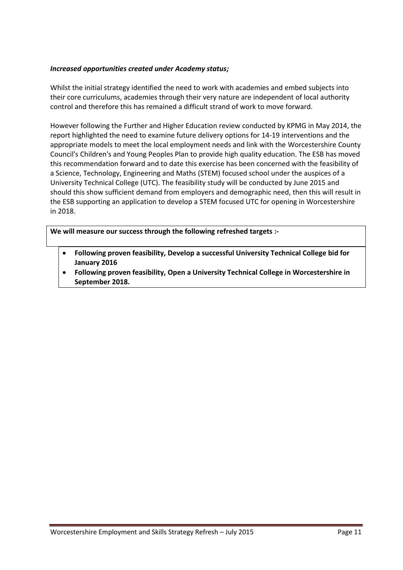#### *Increased opportunities created under Academy status;*

Whilst the initial strategy identified the need to work with academies and embed subjects into their core curriculums, academies through their very nature are independent of local authority control and therefore this has remained a difficult strand of work to move forward.

However following the Further and Higher Education review conducted by KPMG in May 2014, the report highlighted the need to examine future delivery options for 14-19 interventions and the appropriate models to meet the local employment needs and link with the Worcestershire County Council's Children's and Young Peoples Plan to provide high quality education. The ESB has moved this recommendation forward and to date this exercise has been concerned with the feasibility of a Science, Technology, Engineering and Maths (STEM) focused school under the auspices of a University Technical College (UTC). The feasibility study will be conducted by June 2015 and should this show sufficient demand from employers and demographic need, then this will result in the ESB supporting an application to develop a STEM focused UTC for opening in Worcestershire in 2018.

**We will measure our success through the following refreshed targets :-**

- **Following proven feasibility, Develop a successful University Technical College bid for January 2016**
- **Following proven feasibility, Open a University Technical College in Worcestershire in September 2018.**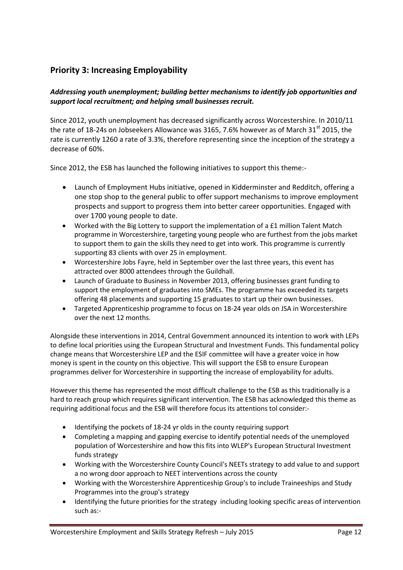### **Priority 3: Increasing Employability**

#### *Addressing youth unemployment; building better mechanisms to identify job opportunities and support local recruitment; and helping small businesses recruit.*

Since 2012, youth unemployment has decreased significantly across Worcestershire. In 2010/11 the rate of 18-24s on Jobseekers Allowance was 3165, 7.6% however as of March 31 $^{\rm st}$  2015, the rate is currently 1260 a rate of 3.3%, therefore representing since the inception of the strategy a decrease of 60%.

Since 2012, the ESB has launched the following initiatives to support this theme:-

- Launch of Employment Hubs initiative, opened in Kidderminster and Redditch, offering a one stop shop to the general public to offer support mechanisms to improve employment prospects and support to progress them into better career opportunities. Engaged with over 1700 young people to date.
- Worked with the Big Lottery to support the implementation of a £1 million Talent Match programme in Worcestershire, targeting young people who are furthest from the jobs market to support them to gain the skills they need to get into work. This programme is currently supporting 83 clients with over 25 in employment.
- Worcestershire Jobs Fayre, held in September over the last three years, this event has attracted over 8000 attendees through the Guildhall.
- Launch of Graduate to Business in November 2013, offering businesses grant funding to support the employment of graduates into SMEs. The programme has exceeded its targets offering 48 placements and supporting 15 graduates to start up their own businesses.
- Targeted Apprenticeship programme to focus on 18-24 year olds on JSA in Worcestershire over the next 12 months.

Alongside these interventions in 2014, Central Government announced its intention to work with LEPs to define local priorities using the European Structural and Investment Funds. This fundamental policy change means that Worcestershire LEP and the ESIF committee will have a greater voice in how money is spent in the county on this objective. This will support the ESB to ensure European programmes deliver for Worcestershire in supporting the increase of employability for adults.

However this theme has represented the most difficult challenge to the ESB as this traditionally is a hard to reach group which requires significant intervention. The ESB has acknowledged this theme as requiring additional focus and the ESB will therefore focus its attentions tol consider:-

- Identifying the pockets of 18-24 yr olds in the county requiring support
- Completing a mapping and gapping exercise to identify potential needs of the unemployed population of Worcestershire and how this fits into WLEP's European Structural Investment funds strategy
- Working with the Worcestershire County Council's NEETs strategy to add value to and support a no wrong door approach to NEET interventions across the county
- Working with the Worcestershire Apprenticeship Group's to include Traineeships and Study Programmes into the group's strategy
- Identifying the future priorities for the strategy including looking specific areas of intervention such as:-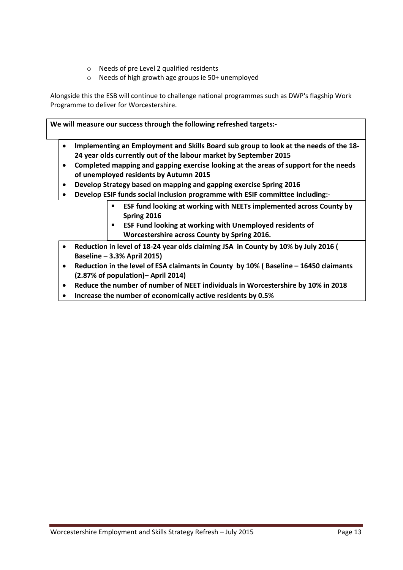- o Needs of pre Level 2 qualified residents
- o Needs of high growth age groups ie 50+ unemployed

Alongside this the ESB will continue to challenge national programmes such as DWP's flagship Work Programme to deliver for Worcestershire.

**We will measure our success through the following refreshed targets:-**

- **Implementing an Employment and Skills Board sub group to look at the needs of the 18- 24 year olds currently out of the labour market by September 2015**
- **Completed mapping and gapping exercise looking at the areas of support for the needs of unemployed residents by Autumn 2015**
- **Develop Strategy based on mapping and gapping exercise Spring 2016**
- **Develop ESIF funds social inclusion programme with ESIF committee including:-**
	- **ESF fund looking at working with NEETs implemented across County by Spring 2016**
	- **ESF Fund looking at working with Unemployed residents of Worcestershire across County by Spring 2016.**
- **Reduction in level of 18-24 year olds claiming JSA in County by 10% by July 2016 ( Baseline – 3.3% April 2015)**
- Reduction in the level of ESA claimants in County by 10% (Baseline 16450 claimants **(2.87% of population)– April 2014)**
- **Reduce the number of number of NEET individuals in Worcestershire by 10% in 2018**
- **Increase the number of economically active residents by 0.5%**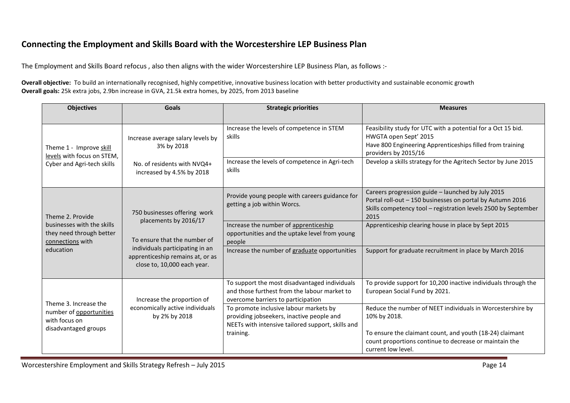#### **Connecting the Employment and Skills Board with the Worcestershire LEP Business Plan**

The Employment and Skills Board refocus , also then aligns with the wider Worcestershire LEP Business Plan, as follows :-

**Overall objective:** To build an internationally recognised, highly competitive, innovative business location with better productivity and sustainable economic growth **Overall goals:** 25k extra jobs, 2.9bn increase in GVA, 21.5k extra homes, by 2025, from 2013 baseline

| <b>Objectives</b>                                                          | <b>Goals</b>                                                                                       | <b>Strategic priorities</b>                                                                                                              | <b>Measures</b>                                                                                                                                                                          |
|----------------------------------------------------------------------------|----------------------------------------------------------------------------------------------------|------------------------------------------------------------------------------------------------------------------------------------------|------------------------------------------------------------------------------------------------------------------------------------------------------------------------------------------|
| Theme 1 - Improve skill<br>levels with focus on STEM,                      | Increase average salary levels by<br>3% by 2018                                                    | Increase the levels of competence in STEM<br>skills                                                                                      | Feasibility study for UTC with a potential for a Oct 15 bid.<br>HWGTA open Sept' 2015<br>Have 800 Engineering Apprenticeships filled from training<br>providers by 2015/16               |
| Cyber and Agri-tech skills                                                 | No. of residents with NVQ4+<br>increased by 4.5% by 2018                                           | Increase the levels of competence in Agri-tech<br>skills                                                                                 | Develop a skills strategy for the Agritech Sector by June 2015                                                                                                                           |
| Theme 2. Provide                                                           | 750 businesses offering work                                                                       | Provide young people with careers guidance for<br>getting a job within Worcs.                                                            | Careers progression guide - launched by July 2015<br>Portal roll-out - 150 businesses on portal by Autumn 2016<br>Skills competency tool - registration levels 2500 by September<br>2015 |
| businesses with the skills<br>they need through better<br>connections with | placements by 2016/17<br>To ensure that the number of                                              | Increase the number of apprenticeship<br>opportunities and the uptake level from young<br>people                                         | Apprenticeship clearing house in place by Sept 2015                                                                                                                                      |
| education                                                                  | individuals participating in an<br>apprenticeship remains at, or as<br>close to, 10,000 each year. | Increase the number of graduate opportunities                                                                                            | Support for graduate recruitment in place by March 2016                                                                                                                                  |
| Theme 3. Increase the                                                      | Increase the proportion of                                                                         | To support the most disadvantaged individuals<br>and those furthest from the labour market to<br>overcome barriers to participation      | To provide support for 10,200 inactive individuals through the<br>European Social Fund by 2021.                                                                                          |
| number of opportunities<br>with focus on<br>disadvantaged groups           | economically active individuals<br>by 2% by 2018                                                   | To promote inclusive labour markets by<br>providing jobseekers, inactive people and<br>NEETs with intensive tailored support, skills and | Reduce the number of NEET individuals in Worcestershire by<br>10% by 2018.                                                                                                               |
|                                                                            |                                                                                                    | training.                                                                                                                                | To ensure the claimant count, and youth (18-24) claimant<br>count proportions continue to decrease or maintain the<br>current low level.                                                 |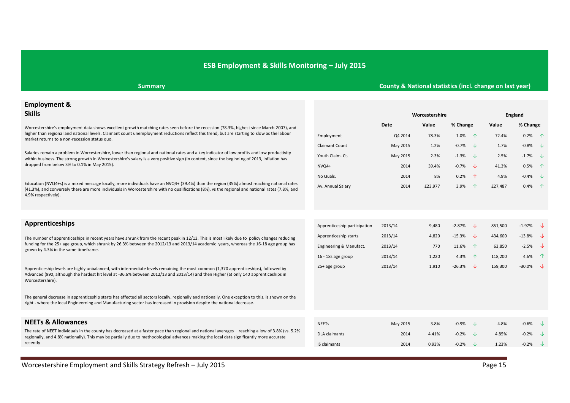#### **ESB Employment & Skills Monitoring – July 2015**

#### **Summary County & National statistics (incl. change on last year)**

## **Employment &**

Education (NVQ4+s) is a mixed message locally, more individuals have an NVQ4+ (39.4%) than the region (35%) almost reaching national rates (41.3%), and conversely there are more individuals in Worcestershire with no qualifications (8%), vs the regional and national rates (7.8%, and 4.9% respectively).

| __________________                                                                                                                                                                                                                                                                           |                         |                             |                |                       |         |                       |  |
|----------------------------------------------------------------------------------------------------------------------------------------------------------------------------------------------------------------------------------------------------------------------------------------------|-------------------------|-----------------------------|----------------|-----------------------|---------|-----------------------|--|
| <b>Skills</b>                                                                                                                                                                                                                                                                                |                         |                             | Worcestershire |                       |         | England               |  |
| Worcestershire's employment data shows excellent growth matching rates seen before the recession (78.3%, highest since March 2007), and                                                                                                                                                      |                         | Date                        | Value          | % Change              | Value   | % Change              |  |
| higher than regional and national levels. Claimant count unemployment reductions reflect this trend, but are starting to slow as the labour<br>market returns to a non-recession status quo.                                                                                                 | Employment              | Q4 2014                     | 78.3%          | 1.0%<br>$\sqrt{N}$    | 72.4%   | $0.2%$ $\uparrow$     |  |
|                                                                                                                                                                                                                                                                                              | <b>Claimant Count</b>   | May 2015                    | 1.2%           | $-0.7%$<br>NZ.        | 1.7%    | $-0.8\%$ $\downarrow$ |  |
| Salaries remain a problem in Worcestershire, lower than regional and national rates and a key indicator of low profits and low productivity<br>within business. The strong growth in Worcestershire's salary is a very positive sign (in context, since the beginning of 2013, inflation has | Youth Claim. Ct.        | May 2015                    | 2.3%           | $-1.3%$<br>تباد       | 2.5%    | $-1.7\%$ $\downarrow$ |  |
| dropped from below 3% to 0.1% in May 2015).                                                                                                                                                                                                                                                  | $NVO4+$                 | 2014                        | 39.4%          | $-0.7%$<br>NZ.        | 41.3%   | $0.5%$ $\uparrow$     |  |
|                                                                                                                                                                                                                                                                                              | 8%<br>No Quals.<br>2014 | 0.2%<br>$\hat{\mathcal{L}}$ | 4.9%           | $-0.4\%$ $\downarrow$ |         |                       |  |
| Education (NVQ4+s) is a mixed message locally, more individuals have an NVQ4+ (39.4%) than the region (35%) almost reaching national rates<br>(4.30) and conversive there are more individuals in Morectorshire with no qualifications (80), we the regional and national rates (7.80) and   | Av. Annual Salary       | 2014                        | £23.977        | 3.9%                  | £27.487 | $0.4\%$ 1             |  |

Apprenticeship levels are highly unbalanced, with intermediate levels remaining the most common (1,370 apprenticeships), followed by Advanced (990, although the hardest hit level at -36.6% between 2012/13 and 2013/14) and then Higher (at only 140 apprenticeships in Worcestershire).

The general decrease in apprenticeship starts has effected all sectors locally, regionally and nationally. One exception to this, is shown on the right - where the local Engineerning and Manufacturing sector has increased in provision despite the national decrease.

| <b>Apprenticeships</b>                                                                                                                                                                                                                                                                                                      | Apprenticeship participation | 2013/14 | 9,480 | $-2.87%$ | 851,500 | $-1.97%$             | ╶╶┺╌                      |
|-----------------------------------------------------------------------------------------------------------------------------------------------------------------------------------------------------------------------------------------------------------------------------------------------------------------------------|------------------------------|---------|-------|----------|---------|----------------------|---------------------------|
| The number of apprenticeships in recent years have shrunk from the recent peak in 12/13. This is most likely due to policy changes reducing<br>funding for the 25+ age group, which shrunk by 26.3% between the 2012/13 and 2013/14 academic years, whereas the 16-18 age group has<br>grown by 4.3% in the same timeframe. | Apprenticeship starts        | 2013/14 | 4.820 | $-15.3%$ | 434.600 | $-13.8\%$ $\sqrt{ }$ |                           |
|                                                                                                                                                                                                                                                                                                                             | Engineering & Manufact.      | 2013/14 |       | 11.6%    | 63,850  | $-2.5%$              | ື                         |
|                                                                                                                                                                                                                                                                                                                             | 16 - 18s age group           | 2013/14 | 1,220 | 4.3%     | 118,200 | 4.6%                 | $\mathcal{P}$             |
| Apprenticeship levels are highly unhalanced, with intermediate levels remaining the most common (1,370 apprenticeships), followed by                                                                                                                                                                                        | 25+ age group                | 2013/14 | 1.910 | $-26.3%$ | 159.300 | $-30.0%$             | $\rightarrow \rightarrow$ |

| <b>NEETs &amp; Allowances</b>                                                                                                                                                                                                                                                                | <b>NEETs</b>         | May 2015 | 3.8%  | $-0.9%$ | 4.8%  | $-0.6%$ | NZ.    |
|----------------------------------------------------------------------------------------------------------------------------------------------------------------------------------------------------------------------------------------------------------------------------------------------|----------------------|----------|-------|---------|-------|---------|--------|
| The rate of NEET individuals in the county has decreased at a faster pace than regional and national averages – reaching a low of 3.8% (vs. 5.2%<br>regionally, and 4.8% nationally). This may be partially due to methodological advances making the local data significantly more accurate | <b>DLA</b> claimants | 2014     | 4.41% | $-0.2%$ | 4.85% | $-0.2%$ | الخالد |
| recently                                                                                                                                                                                                                                                                                     | IS claimants         | 2014     | 0.93% | $-0.2%$ | 1.23% | $-0.2%$ | - √∞   |